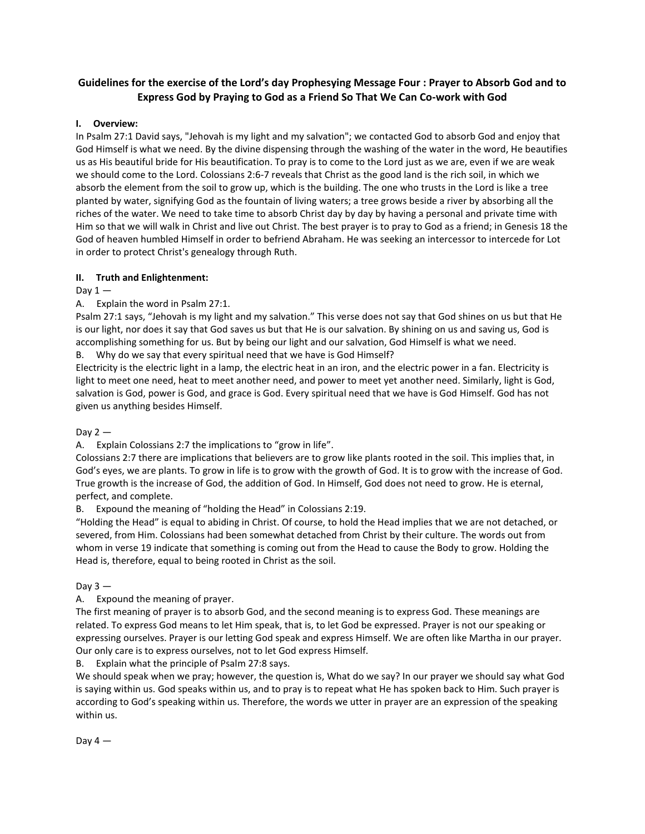# **Guidelines for the exercise of the Lord's day Prophesying Message Four : Prayer to Absorb God and to Express God by Praying to God as a Friend So That We Can Co-work with God**

# **I. Overview:**

In Psalm 27:1 David says, "Jehovah is my light and my salvation"; we contacted God to absorb God and enjoy that God Himself is what we need. By the divine dispensing through the washing of the water in the word, He beautifies us as His beautiful bride for His beautification. To pray is to come to the Lord just as we are, even if we are weak we should come to the Lord. Colossians 2:6-7 reveals that Christ as the good land is the rich soil, in which we absorb the element from the soil to grow up, which is the building. The one who trusts in the Lord is like a tree planted by water, signifying God as the fountain of living waters; a tree grows beside a river by absorbing all the riches of the water. We need to take time to absorb Christ day by day by having a personal and private time with Him so that we will walk in Christ and live out Christ. The best prayer is to pray to God as a friend; in Genesis 18 the God of heaven humbled Himself in order to befriend Abraham. He was seeking an intercessor to intercede for Lot in order to protect Christ's genealogy through Ruth.

# **II. Truth and Enlightenment:**

Day  $1 -$ 

A. Explain the word in Psalm 27:1.

Psalm 27:1 says, "Jehovah is my light and my salvation." This verse does not say that God shines on us but that He is our light, nor does it say that God saves us but that He is our salvation. By shining on us and saving us, God is accomplishing something for us. But by being our light and our salvation, God Himself is what we need.

B. Why do we say that every spiritual need that we have is God Himself?

Electricity is the electric light in a lamp, the electric heat in an iron, and the electric power in a fan. Electricity is light to meet one need, heat to meet another need, and power to meet yet another need. Similarly, light is God, salvation is God, power is God, and grace is God. Every spiritual need that we have is God Himself. God has not given us anything besides Himself.

Day  $2-$ 

A. Explain Colossians 2:7 the implications to "grow in life".

Colossians 2:7 there are implications that believers are to grow like plants rooted in the soil. This implies that, in God's eyes, we are plants. To grow in life is to grow with the growth of God. It is to grow with the increase of God. True growth is the increase of God, the addition of God. In Himself, God does not need to grow. He is eternal, perfect, and complete.

Expound the meaning of "holding the Head" in Colossians 2:19.

"Holding the Head" is equal to abiding in Christ. Of course, to hold the Head implies that we are not detached, or severed, from Him. Colossians had been somewhat detached from Christ by their culture. The words out from whom in verse 19 indicate that something is coming out from the Head to cause the Body to grow. Holding the Head is, therefore, equal to being rooted in Christ as the soil.

Day  $3 -$ 

A. Expound the meaning of prayer.

The first meaning of prayer is to absorb God, and the second meaning is to express God. These meanings are related. To express God means to let Him speak, that is, to let God be expressed. Prayer is not our speaking or expressing ourselves. Prayer is our letting God speak and express Himself. We are often like Martha in our prayer. Our only care is to express ourselves, not to let God express Himself.

B. Explain what the principle of Psalm 27:8 says.

We should speak when we pray; however, the question is, What do we say? In our prayer we should say what God is saying within us. God speaks within us, and to pray is to repeat what He has spoken back to Him. Such prayer is according to God's speaking within us. Therefore, the words we utter in prayer are an expression of the speaking within us.

Day  $4-$